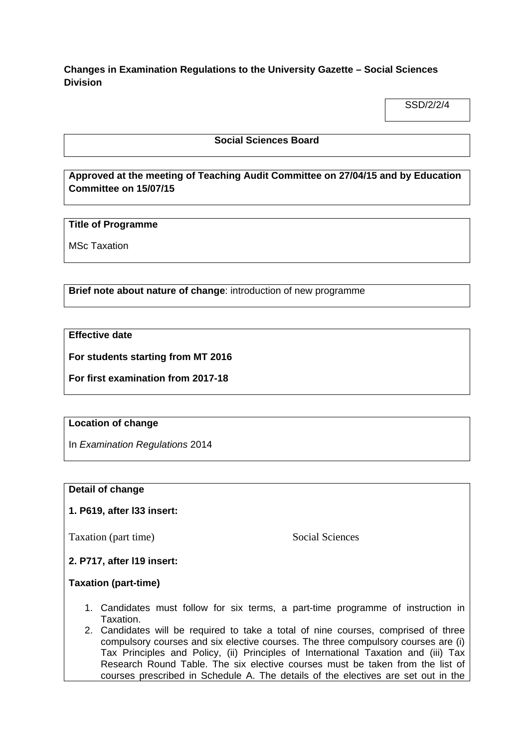**Changes in Examination Regulations to the University Gazette – Social Sciences Division**

SSD/2/2/4

### **Social Sciences Board**

# **Approved at the meeting of Teaching Audit Committee on 27/04/15 and by Education Committee on 15/07/15**

### **Title of Programme**

MSc Taxation

**Brief note about nature of change**: introduction of new programme

**Effective date**

**For students starting from MT 2016**

**For first examination from 2017-18**

#### **Location of change**

In *Examination Regulations* 2014

#### **Detail of change**

## **1. P619, after l33 insert:**

Taxation (part time) Social Sciences

## **2. P717, after l19 insert:**

#### **Taxation (part-time)**

- 1. Candidates must follow for six terms, a part-time programme of instruction in Taxation.
- 2. Candidates will be required to take a total of nine courses, comprised of three compulsory courses and six elective courses. The three compulsory courses are (i) Tax Principles and Policy, (ii) Principles of International Taxation and (iii) Tax Research Round Table. The six elective courses must be taken from the list of courses prescribed in Schedule A. The details of the electives are set out in the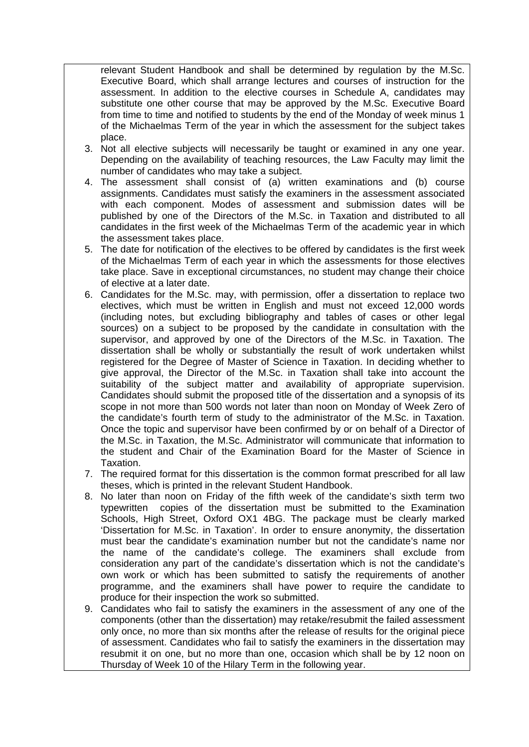relevant Student Handbook and shall be determined by regulation by the M.Sc. Executive Board, which shall arrange lectures and courses of instruction for the assessment. In addition to the elective courses in Schedule A, candidates may substitute one other course that may be approved by the M.Sc. Executive Board from time to time and notified to students by the end of the Monday of week minus 1 of the Michaelmas Term of the year in which the assessment for the subject takes place.

- 3. Not all elective subjects will necessarily be taught or examined in any one year. Depending on the availability of teaching resources, the Law Faculty may limit the number of candidates who may take a subject.
- 4. The assessment shall consist of (a) written examinations and (b) course assignments. Candidates must satisfy the examiners in the assessment associated with each component. Modes of assessment and submission dates will be published by one of the Directors of the M.Sc. in Taxation and distributed to all candidates in the first week of the Michaelmas Term of the academic year in which the assessment takes place.
- 5. The date for notification of the electives to be offered by candidates is the first week of the Michaelmas Term of each year in which the assessments for those electives take place. Save in exceptional circumstances, no student may change their choice of elective at a later date.
- 6. Candidates for the M.Sc. may, with permission, offer a dissertation to replace two electives, which must be written in English and must not exceed 12,000 words (including notes, but excluding bibliography and tables of cases or other legal sources) on a subject to be proposed by the candidate in consultation with the supervisor, and approved by one of the Directors of the M.Sc. in Taxation. The dissertation shall be wholly or substantially the result of work undertaken whilst registered for the Degree of Master of Science in Taxation. In deciding whether to give approval, the Director of the M.Sc. in Taxation shall take into account the suitability of the subject matter and availability of appropriate supervision. Candidates should submit the proposed title of the dissertation and a synopsis of its scope in not more than 500 words not later than noon on Monday of Week Zero of the candidate's fourth term of study to the administrator of the M.Sc. in Taxation. Once the topic and supervisor have been confirmed by or on behalf of a Director of the M.Sc. in Taxation, the M.Sc. Administrator will communicate that information to the student and Chair of the Examination Board for the Master of Science in Taxation.
- 7. The required format for this dissertation is the common format prescribed for all law theses, which is printed in the relevant Student Handbook.
- 8. No later than noon on Friday of the fifth week of the candidate's sixth term two typewritten copies of the dissertation must be submitted to the Examination Schools, High Street, Oxford OX1 4BG. The package must be clearly marked 'Dissertation for M.Sc. in Taxation'. In order to ensure anonymity, the dissertation must bear the candidate's examination number but not the candidate's name nor the name of the candidate's college. The examiners shall exclude from consideration any part of the candidate's dissertation which is not the candidate's own work or which has been submitted to satisfy the requirements of another programme, and the examiners shall have power to require the candidate to produce for their inspection the work so submitted.
- 9. Candidates who fail to satisfy the examiners in the assessment of any one of the components (other than the dissertation) may retake/resubmit the failed assessment only once, no more than six months after the release of results for the original piece of assessment. Candidates who fail to satisfy the examiners in the dissertation may resubmit it on one, but no more than one, occasion which shall be by 12 noon on Thursday of Week 10 of the Hilary Term in the following year.